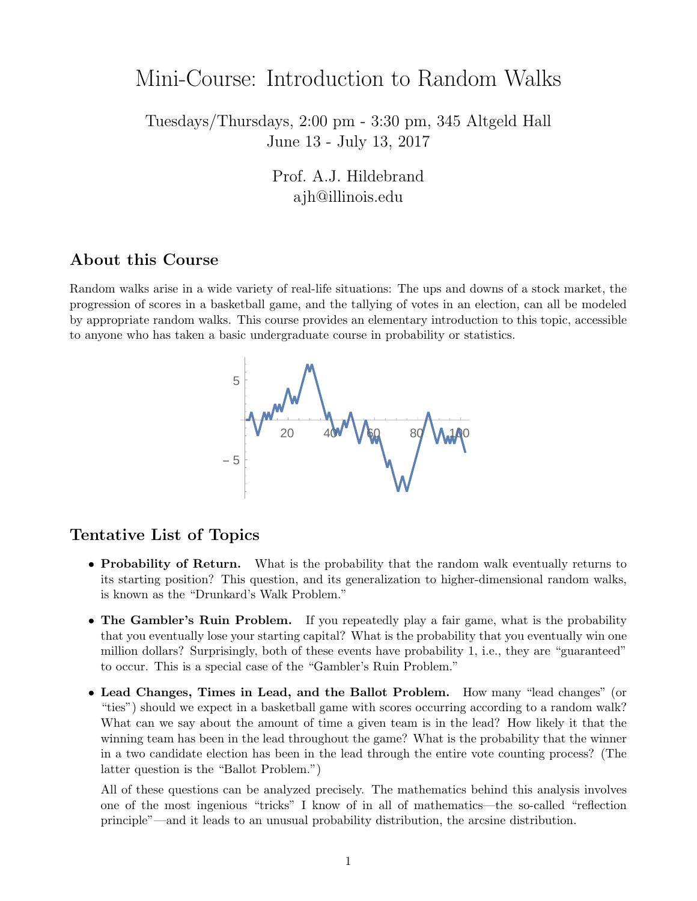## Mini-Course: Introduction to Random Walks

Tuesdays/Thursdays, 2:00 pm - 3:30 pm, 345 Altgeld Hall June 13 - July 13, 2017

> Prof. A.J. Hildebrand ajh@illinois.edu

## About this Course

Random walks arise in a wide variety of real-life situations: The ups and downs of a stock market, the progression of scores in a basketball game, and the tallying of votes in an election, can all be modeled by appropriate random walks. This course provides an elementary introduction to this topic, accessible to anyone who has taken a basic undergraduate course in probability or statistics.



## Tentative List of Topics

- Probability of Return. What is the probability that the random walk eventually returns to its starting position? This question, and its generalization to higher-dimensional random walks, is known as the "Drunkard's Walk Problem."
- The Gambler's Ruin Problem. If you repeatedly play a fair game, what is the probability that you eventually lose your starting capital? What is the probability that you eventually win one million dollars? Surprisingly, both of these events have probability 1, i.e., they are "guaranteed" to occur. This is a special case of the "Gambler's Ruin Problem."
- Lead Changes, Times in Lead, and the Ballot Problem. How many "lead changes" (or "ties") should we expect in a basketball game with scores occurring according to a random walk? What can we say about the amount of time a given team is in the lead? How likely it that the winning team has been in the lead throughout the game? What is the probability that the winner in a two candidate election has been in the lead through the entire vote counting process? (The latter question is the "Ballot Problem.")

All of these questions can be analyzed precisely. The mathematics behind this analysis involves one of the most ingenious "tricks" I know of in all of mathematics—the so-called "reflection principle"—and it leads to an unusual probability distribution, the arcsine distribution.